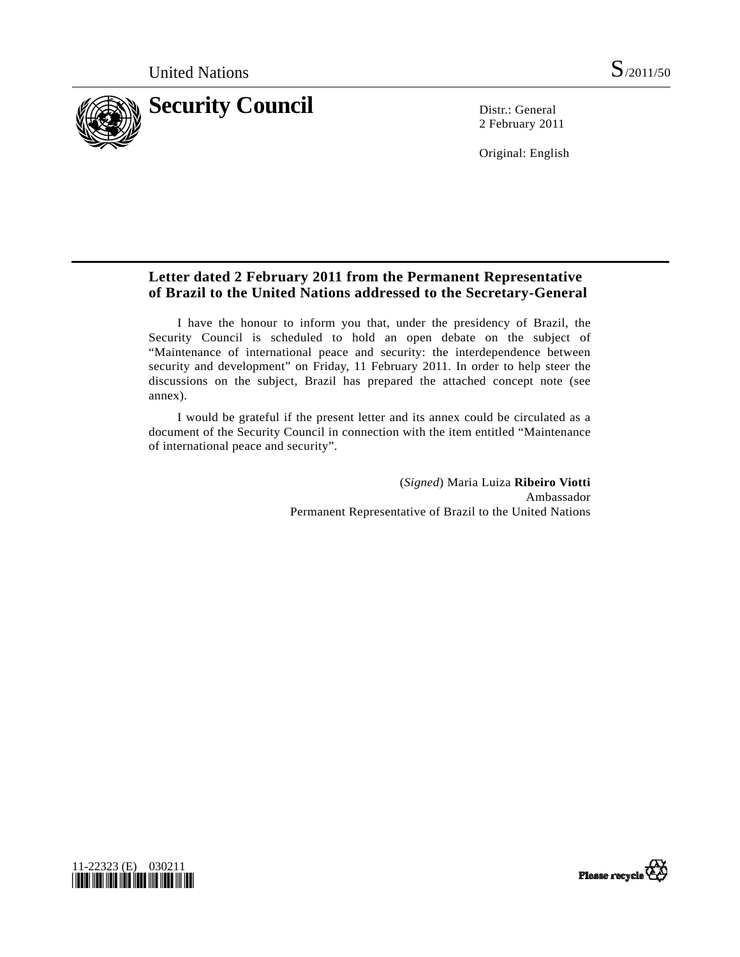

2 February 2011

Original: English

# **Letter dated 2 February 2011 from the Permanent Representative of Brazil to the United Nations addressed to the Secretary-General**

 I have the honour to inform you that, under the presidency of Brazil, the Security Council is scheduled to hold an open debate on the subject of "Maintenance of international peace and security: the interdependence between security and development" on Friday, 11 February 2011. In order to help steer the discussions on the subject, Brazil has prepared the attached concept note (see annex).

 I would be grateful if the present letter and its annex could be circulated as a document of the Security Council in connection with the item entitled "Maintenance of international peace and security".

> (*Signed*) Maria Luiza **Ribeiro Viotti** Ambassador Permanent Representative of Brazil to the United Nations



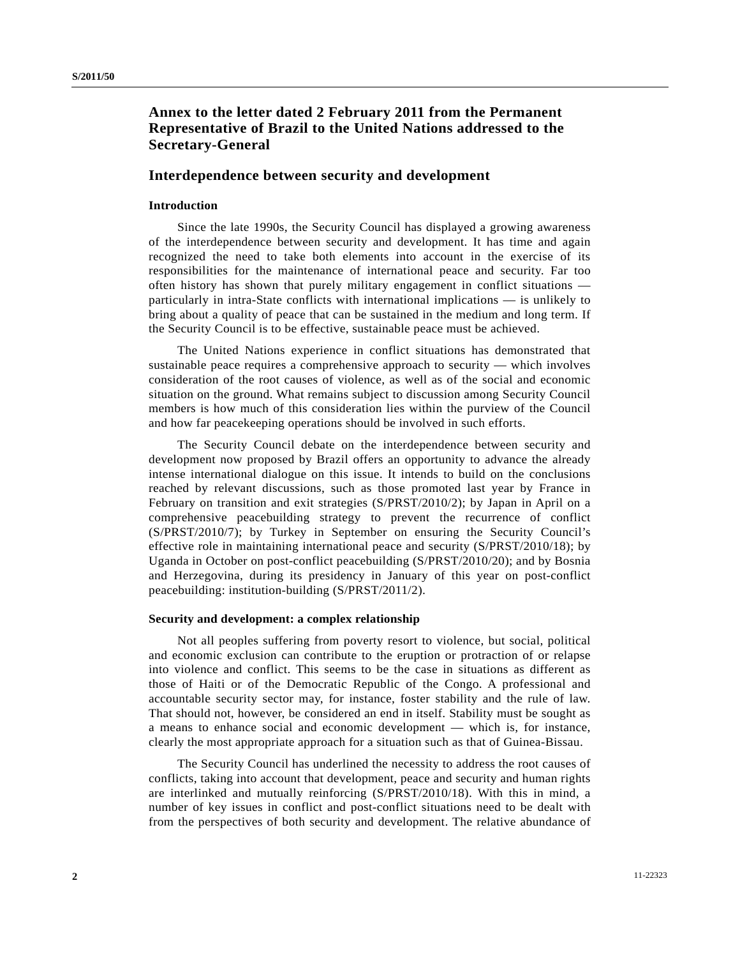## **Annex to the letter dated 2 February 2011 from the Permanent Representative of Brazil to the United Nations addressed to the Secretary-General**

### **Interdependence between security and development**

## **Introduction**

 Since the late 1990s, the Security Council has displayed a growing awareness of the interdependence between security and development. It has time and again recognized the need to take both elements into account in the exercise of its responsibilities for the maintenance of international peace and security. Far too often history has shown that purely military engagement in conflict situations particularly in intra-State conflicts with international implications — is unlikely to bring about a quality of peace that can be sustained in the medium and long term. If the Security Council is to be effective, sustainable peace must be achieved.

 The United Nations experience in conflict situations has demonstrated that sustainable peace requires a comprehensive approach to security — which involves consideration of the root causes of violence, as well as of the social and economic situation on the ground. What remains subject to discussion among Security Council members is how much of this consideration lies within the purview of the Council and how far peacekeeping operations should be involved in such efforts.

 The Security Council debate on the interdependence between security and development now proposed by Brazil offers an opportunity to advance the already intense international dialogue on this issue. It intends to build on the conclusions reached by relevant discussions, such as those promoted last year by France in February on transition and exit strategies (S/PRST/2010/2); by Japan in April on a comprehensive peacebuilding strategy to prevent the recurrence of conflict (S/PRST/2010/7); by Turkey in September on ensuring the Security Council's effective role in maintaining international peace and security (S/PRST/2010/18); by Uganda in October on post-conflict peacebuilding (S/PRST/2010/20); and by Bosnia and Herzegovina, during its presidency in January of this year on post-conflict peacebuilding: institution-building (S/PRST/2011/2).

#### **Security and development: a complex relationship**

 Not all peoples suffering from poverty resort to violence, but social, political and economic exclusion can contribute to the eruption or protraction of or relapse into violence and conflict. This seems to be the case in situations as different as those of Haiti or of the Democratic Republic of the Congo. A professional and accountable security sector may, for instance, foster stability and the rule of law. That should not, however, be considered an end in itself. Stability must be sought as a means to enhance social and economic development — which is, for instance, clearly the most appropriate approach for a situation such as that of Guinea-Bissau.

 The Security Council has underlined the necessity to address the root causes of conflicts, taking into account that development, peace and security and human rights are interlinked and mutually reinforcing (S/PRST/2010/18). With this in mind, a number of key issues in conflict and post-conflict situations need to be dealt with from the perspectives of both security and development. The relative abundance of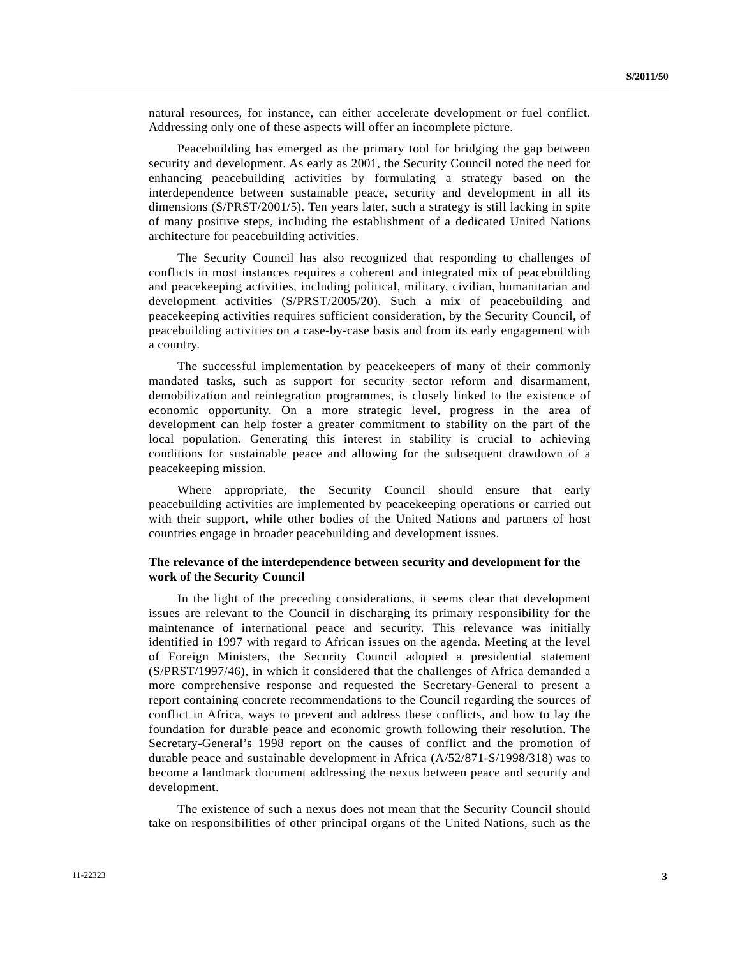natural resources, for instance, can either accelerate development or fuel conflict. Addressing only one of these aspects will offer an incomplete picture.

 Peacebuilding has emerged as the primary tool for bridging the gap between security and development. As early as 2001, the Security Council noted the need for enhancing peacebuilding activities by formulating a strategy based on the interdependence between sustainable peace, security and development in all its dimensions (S/PRST/2001/5). Ten years later, such a strategy is still lacking in spite of many positive steps, including the establishment of a dedicated United Nations architecture for peacebuilding activities.

 The Security Council has also recognized that responding to challenges of conflicts in most instances requires a coherent and integrated mix of peacebuilding and peacekeeping activities, including political, military, civilian, humanitarian and development activities (S/PRST/2005/20). Such a mix of peacebuilding and peacekeeping activities requires sufficient consideration, by the Security Council, of peacebuilding activities on a case-by-case basis and from its early engagement with a country.

 The successful implementation by peacekeepers of many of their commonly mandated tasks, such as support for security sector reform and disarmament, demobilization and reintegration programmes, is closely linked to the existence of economic opportunity. On a more strategic level, progress in the area of development can help foster a greater commitment to stability on the part of the local population. Generating this interest in stability is crucial to achieving conditions for sustainable peace and allowing for the subsequent drawdown of a peacekeeping mission.

 Where appropriate, the Security Council should ensure that early peacebuilding activities are implemented by peacekeeping operations or carried out with their support, while other bodies of the United Nations and partners of host countries engage in broader peacebuilding and development issues.

### **The relevance of the interdependence between security and development for the work of the Security Council**

 In the light of the preceding considerations, it seems clear that development issues are relevant to the Council in discharging its primary responsibility for the maintenance of international peace and security. This relevance was initially identified in 1997 with regard to African issues on the agenda. Meeting at the level of Foreign Ministers, the Security Council adopted a presidential statement (S/PRST/1997/46), in which it considered that the challenges of Africa demanded a more comprehensive response and requested the Secretary-General to present a report containing concrete recommendations to the Council regarding the sources of conflict in Africa, ways to prevent and address these conflicts, and how to lay the foundation for durable peace and economic growth following their resolution. The Secretary-General's 1998 report on the causes of conflict and the promotion of durable peace and sustainable development in Africa (A/52/871-S/1998/318) was to become a landmark document addressing the nexus between peace and security and development.

 The existence of such a nexus does not mean that the Security Council should take on responsibilities of other principal organs of the United Nations, such as the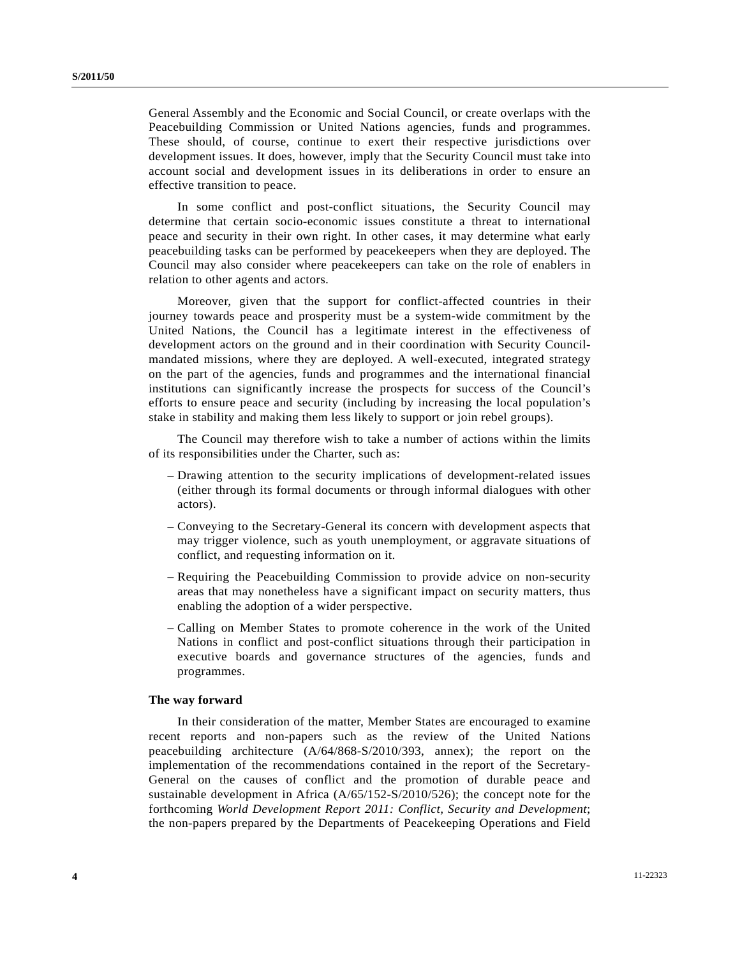General Assembly and the Economic and Social Council, or create overlaps with the Peacebuilding Commission or United Nations agencies, funds and programmes. These should, of course, continue to exert their respective jurisdictions over development issues. It does, however, imply that the Security Council must take into account social and development issues in its deliberations in order to ensure an effective transition to peace.

 In some conflict and post-conflict situations, the Security Council may determine that certain socio-economic issues constitute a threat to international peace and security in their own right. In other cases, it may determine what early peacebuilding tasks can be performed by peacekeepers when they are deployed. The Council may also consider where peacekeepers can take on the role of enablers in relation to other agents and actors.

 Moreover, given that the support for conflict-affected countries in their journey towards peace and prosperity must be a system-wide commitment by the United Nations, the Council has a legitimate interest in the effectiveness of development actors on the ground and in their coordination with Security Councilmandated missions, where they are deployed. A well-executed, integrated strategy on the part of the agencies, funds and programmes and the international financial institutions can significantly increase the prospects for success of the Council's efforts to ensure peace and security (including by increasing the local population's stake in stability and making them less likely to support or join rebel groups).

 The Council may therefore wish to take a number of actions within the limits of its responsibilities under the Charter, such as:

- Drawing attention to the security implications of development-related issues (either through its formal documents or through informal dialogues with other actors).
- Conveying to the Secretary-General its concern with development aspects that may trigger violence, such as youth unemployment, or aggravate situations of conflict, and requesting information on it.
- Requiring the Peacebuilding Commission to provide advice on non-security areas that may nonetheless have a significant impact on security matters, thus enabling the adoption of a wider perspective.
- Calling on Member States to promote coherence in the work of the United Nations in conflict and post-conflict situations through their participation in executive boards and governance structures of the agencies, funds and programmes.

#### **The way forward**

 In their consideration of the matter, Member States are encouraged to examine recent reports and non-papers such as the review of the United Nations peacebuilding architecture (A/64/868-S/2010/393, annex); the report on the implementation of the recommendations contained in the report of the Secretary-General on the causes of conflict and the promotion of durable peace and sustainable development in Africa (A/65/152-S/2010/526); the concept note for the forthcoming *World Development Report 2011: Conflict, Security and Development*; the non-papers prepared by the Departments of Peacekeeping Operations and Field